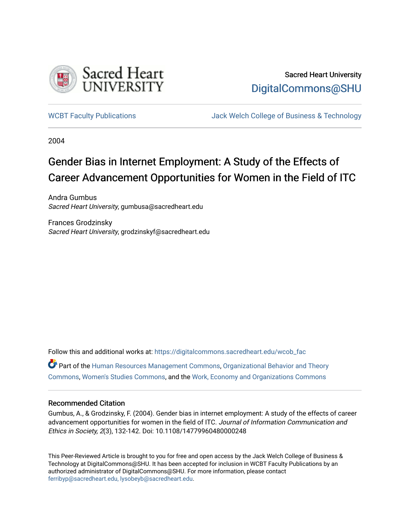

Sacred Heart University [DigitalCommons@SHU](https://digitalcommons.sacredheart.edu/) 

[WCBT Faculty Publications](https://digitalcommons.sacredheart.edu/wcob_fac) [Jack Welch College of Business & Technology](https://digitalcommons.sacredheart.edu/wcob) 

2004

## Gender Bias in Internet Employment: A Study of the Effects of Career Advancement Opportunities for Women in the Field of ITC

Andra Gumbus Sacred Heart University, gumbusa@sacredheart.edu

Frances Grodzinsky Sacred Heart University, grodzinskyf@sacredheart.edu

Follow this and additional works at: [https://digitalcommons.sacredheart.edu/wcob\\_fac](https://digitalcommons.sacredheart.edu/wcob_fac?utm_source=digitalcommons.sacredheart.edu%2Fwcob_fac%2F64&utm_medium=PDF&utm_campaign=PDFCoverPages) Part of the [Human Resources Management Commons,](http://network.bepress.com/hgg/discipline/633?utm_source=digitalcommons.sacredheart.edu%2Fwcob_fac%2F64&utm_medium=PDF&utm_campaign=PDFCoverPages) [Organizational Behavior and Theory](http://network.bepress.com/hgg/discipline/639?utm_source=digitalcommons.sacredheart.edu%2Fwcob_fac%2F64&utm_medium=PDF&utm_campaign=PDFCoverPages) [Commons](http://network.bepress.com/hgg/discipline/639?utm_source=digitalcommons.sacredheart.edu%2Fwcob_fac%2F64&utm_medium=PDF&utm_campaign=PDFCoverPages), [Women's Studies Commons,](http://network.bepress.com/hgg/discipline/561?utm_source=digitalcommons.sacredheart.edu%2Fwcob_fac%2F64&utm_medium=PDF&utm_campaign=PDFCoverPages) and the [Work, Economy and Organizations Commons](http://network.bepress.com/hgg/discipline/433?utm_source=digitalcommons.sacredheart.edu%2Fwcob_fac%2F64&utm_medium=PDF&utm_campaign=PDFCoverPages)

#### Recommended Citation

Gumbus, A., & Grodzinsky, F. (2004). Gender bias in internet employment: A study of the effects of career advancement opportunities for women in the field of ITC. Journal of Information Communication and Ethics in Society, 2(3), 132-142. Doi: 10.1108/14779960480000248

This Peer-Reviewed Article is brought to you for free and open access by the Jack Welch College of Business & Technology at DigitalCommons@SHU. It has been accepted for inclusion in WCBT Faculty Publications by an authorized administrator of DigitalCommons@SHU. For more information, please contact [ferribyp@sacredheart.edu, lysobeyb@sacredheart.edu.](mailto:ferribyp@sacredheart.edu,%20lysobeyb@sacredheart.edu)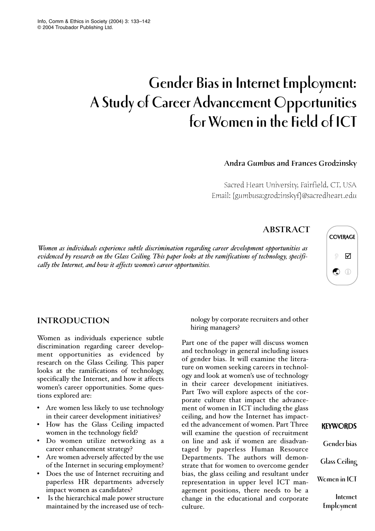# **Gender Bias in Internet Employment: A Study of Career Advancement Opportunities for Women in the Field of ICT**

## Andra Gumbus and Frances Grodzinsky

Sacred Heart University, Fairfield, CT, USA Email: {gumbusa;grodzinskyf}@sacredheart.edu

**ABSTRACT** 

*Women as individuals experience subtle discrimination regarding career development opportunities as evidenced by research on the Glass Ceiling. This paper looks at the ramifications of technology, specifically the Internet, and how it affects women's career opportunities.*



## INTRODUCTION

Women as individuals experience subtle discrimination regarding career development opportunities as evidenced by research on the Glass Ceiling. This paper looks at the ramifications of technology, specifically the Internet, and how it affects women's career opportunities. Some questions explored are:

- Are women less likely to use technology in their career development initiatives?
- How has the Glass Ceiling impacted women in the technology field?
- Do women utilize networking as a career enhancement strategy?
- Are women adversely affected by the use of the Internet in securing employment?
- Does the use of Internet recruiting and paperless HR departments adversely impact women as candidates?
- Is the hierarchical male power structure maintained by the increased use of tech-

nology by corporate recruiters and other hiring managers?

Part one of the paper will discuss women and technology in general including issues of gender bias. It will examine the literature on women seeking careers in technology and look at women's use of technology in their career development initiatives. Part Two will explore aspects of the corporate culture that impact the advancement of women in ICT including the glass ceiling, and how the Internet has impacted the advancement of women. Part Three will examine the question of recruitment on line and ask if women are disadvantaged by paperless Human Resource Departments. The authors will demonstrate that for women to overcome gender bias, the glass ceiling and resultant under representation in upper level ICT management positions, there needs to be a change in the educational and corporate culture.

## **KEYWORDS**

**Gender bias Glass Ceiling Women in ICT Internet**

**Employment**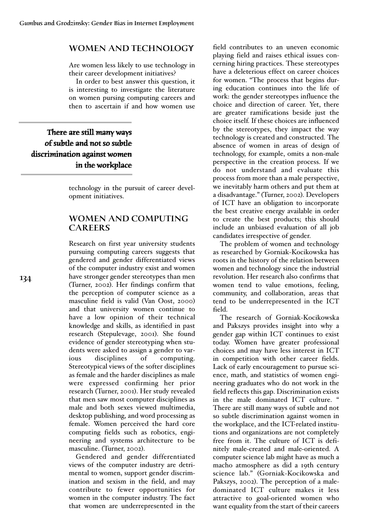## WOMEN AND TECHNOLOGY

Are women less likely to use technology in their career development initiatives?

In order to best answer this question, it is interesting to investigate the literature on women pursing computing careers and then to ascertain if and how women use

There are still many ways of subtle and not so subtle discrimination against women in the workplace

> technology in the pursuit of career development initiatives.

## WOMEN AND COMPUTING CAREERS

Research on first year university students pursuing computing careers suggests that gendered and gender differentiated views of the computer industry exist and women have stronger gender stereotypes than men (Turner, 2002). Her findings confirm that the perception of computer science as a masculine field is valid (Van Oost, 2000) and that university women continue to have a low opinion of their technical knowledge and skills, as identified in past research (Stepulevage, 2001). She found evidence of gender stereotyping when students were asked to assign a gender to various disciplines of computing. Stereotypical views of the softer disciplines as female and the harder disciplines as male were expressed confirming her prior research (Turner, 2001). Her study revealed that men saw most computer disciplines as male and both sexes viewed multimedia, desktop publishing, and word processing as female. Women perceived the hard core computing fields such as robotics, engineering and systems architecture to be masculine. (Turner, 2002).

Gendered and gender differentiated views of the computer industry are detrimental to women, support gender discrimination and sexism in the field, and may contribute to fewer opportunities for women in the computer industry. The fact that women are underrepresented in the

field contributes to an uneven economic playing field and raises ethical issues concerning hiring practices. These stereotypes have a deleterious effect on career choices for women. "The process that begins during education continues into the life of work: the gender stereotypes influence the choice and direction of career. Yet, there are greater ramifications beside just the choice itself. If these choices are influenced by the stereotypes, they impact the way technology is created and constructed. The absence of women in areas of design of technology, for example, omits a non-male perspective in the creation process. If we do not understand and evaluate this process from more than a male perspective, we inevitably harm others and put them at a disadvantage." (Turner, 2002). Developers of ICT have an obligation to incorporate the best creative energy available in order to create the best products; this should include an unbiased evaluation of all job candidates irrespective of gender.

The problem of women and technology as researched by Gorniak-Kocikowska has roots in the history of the relation between women and technology since the industrial revolution. Her research also confirms that women tend to value emotions, feeling, community, and collaboration, areas that tend to be underrepresented in the ICT field.

The research of Gorniak-Kocikowska and Pakszys provides insight into why a gender gap within ICT continues to exist today. Women have greater professional choices and may have less interest in ICT in competition with other career fields. Lack of early encouragement to pursue science, math, and statistics of women engineering graduates who do not work in the field reflects this gap. Discrimination exists in the male dominated ICT culture. " There are still many ways of subtle and not so subtle discrimination against women in the workplace, and the ICT-related institutions and organizations are not completely free from it. The culture of ICT is definitely male-created and male-oriented. A computer science lab might have as much a macho atmosphere as did a 19th century science lab." (Gorniak-Kocikowska and Pakszys, 2002). The perception of a maledominated ICT culture makes it less attractive to goal-oriented women who want equality from the start of their careers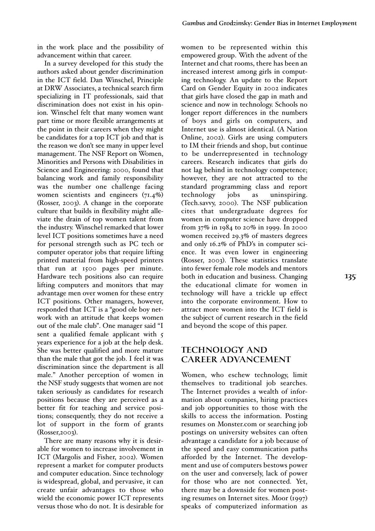in the work place and the possibility of advancement within that career.

In a survey developed for this study the authors asked about gender discrimination in the ICT field. Dan Winschel, Principle at DRW Associates, a technical search firm specializing in IT professionals, said that discrimination does not exist in his opinion. Winschel felt that many women want part time or more flexible arrangements at the point in their careers when they might be candidates for a top ICT job and that is the reason we don't see many in upper level management. The NSF Report on Women, Minorities and Persons with Disabilities in Science and Engineering: 2000, found that balancing work and family responsibility was the number one challenge facing women scientists and engineers (71.4%) (Rosser, 2003). A change in the corporate culture that builds in flexibility might alleviate the drain of top women talent from the industry. Winschel remarked that lower level ICT positions sometimes have a need for personal strength such as PC tech or computer operator jobs that require lifting printed material from high-speed printers that run at 1500 pages per minute. Hardware tech positions also can require lifting computers and monitors that may advantage men over women for these entry ICT positions. Other managers, however, responded that ICT is a "good ole boy network with an attitude that keeps women out of the male club". One manager said "I sent a qualified female applicant with 5 years experience for a job at the help desk. She was better qualified and more mature than the male that got the job. I feel it was discrimination since the department is all male." Another perception of women in the NSF study suggests that women are not taken seriously as candidates for research positions because they are perceived as a better fit for teaching and service positions; consequently, they do not receive a lot of support in the form of grants (Rosser,2003).

There are many reasons why it is desirable for women to increase involvement in ICT (Margolis and Fisher, 2002). Women represent a market for computer products and computer education. Since technology is widespread, global, and pervasive, it can create unfair advantages to those who wield the economic power ICT represents versus those who do not. It is desirable for

women to be represented within this empowered group. With the advent of the Internet and chat rooms, there has been an increased interest among girls in computing technology. An update to the Report Card on Gender Equity in 2002 indicates that girls have closed the gap in math and science and now in technology. Schools no longer report differences in the numbers of boys and girls on computers, and Internet use is almost identical. (A Nation Online, 2002). Girls are using computers to IM their friends and shop, but continue to be underrepresented in technology careers. Research indicates that girls do not lag behind in technology competence; however, they are not attracted to the standard programming class and report technology jobs as uninspiring. (Tech.savvy, 2000). The NSF publication cites that undergraduate degrees for women in computer science have dropped from 37% in 1984 to 20% in 1999. In 2000 women received 29.3% of masters degrees and only 16.2% of PhD's in computer science. It was even lower in engineering (Rosser, 2003). These statistics translate into fewer female role models and mentors both in education and business. Changing the educational climate for women in technology will have a trickle up effect into the corporate environment. How to attract more women into the ICT field is the subject of current research in the field and beyond the scope of this paper.

## TECHNOLOGY AND CAREER ADVANCEMENT

Women, who eschew technology, limit themselves to traditional job searches. The Internet provides a wealth of information about companies, hiring practices and job opportunities to those with the skills to access the information. Posting resumes on Monster.com or searching job postings on university websites can often advantage a candidate for a job because of the speed and easy communication paths afforded by the Internet. The development and use of computers bestows power on the user and conversely, lack of power for those who are not connected. Yet, there may be a downside for women posting resumes on Internet sites. Moor (1997) speaks of computerized information as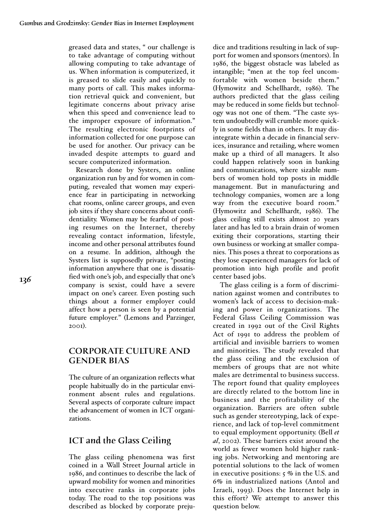greased data and states, " our challenge is to take advantage of computing without allowing computing to take advantage of us. When information is computerized, it is greased to slide easily and quickly to many ports of call. This makes information retrieval quick and convenient, but legitimate concerns about privacy arise when this speed and convenience lead to the improper exposure of information." The resulting electronic footprints of information collected for one purpose can be used for another. Our privacy can be invaded despite attempts to guard and secure computerized information.

Research done by Systers, an online organization run by and for women in computing, revealed that women may experience fear in participating in networking chat rooms, online career groups, and even job sites if they share concerns about confidentiality. Women may be fearful of posting resumes on the Internet, thereby revealing contact information, lifestyle, income and other personal attributes found on a resume. In addition, although the Systers list is supposedly private, "posting information anywhere that one is dissatisfied with one's job, and especially that one's company is sexist, could have a severe impact on one's career. Even posting such things about a former employer could affect how a person is seen by a potential future employer." (Lemons and Parzinger, 2001).

## CORPORATE CULTURE AND GENDER BIAS

The culture of an organization reflects what people habitually do in the particular environment absent rules and regulations. Several aspects of corporate culture impact the advancement of women in ICT organizations.

## ICT and the Glass Ceiling

The glass ceiling phenomena was first coined in a Wall Street Journal article in 1986, and continues to describe the lack of upward mobility for women and minorities into executive ranks in corporate jobs today. The road to the top positions was described as blocked by corporate prejudice and traditions resulting in lack of support for women and sponsors (mentors). In 1986, the biggest obstacle was labeled as intangible; "men at the top feel uncomfortable with women beside them." (Hymowitz and Schellhardt, 1986). The authors predicted that the glass ceiling may be reduced in some fields but technology was not one of them. "The caste system undoubtedly will crumble more quickly in some fields than in others. It may disintegrate within a decade in financial services, insurance and retailing, where women make up a third of all managers. It also could happen relatively soon in banking and communications, where sizable numbers of women hold top posts in middle management. But in manufacturing and technology companies, women are a long way from the executive board room." (Hymowitz and Schellhardt, 1986). The glass ceiling still exists almost 20 years later and has led to a brain drain of women exiting their corporations, starting their own business or working at smaller companies. This poses a threat to corporations as they lose experienced managers for lack of promotion into high profile and profit center based jobs.

The glass ceiling is a form of discrimination against women and contributes to women's lack of access to decision-making and power in organizations. The Federal Glass Ceiling Commission was created in 1992 out of the Civil Rights Act of 1991 to address the problem of artificial and invisible barriers to women and minorities. The study revealed that the glass ceiling and the exclusion of members of groups that are not white males are detrimental to business success. The report found that quality employees are directly related to the bottom line in business and the profitability of the organization. Barriers are often subtle such as gender stereotyping, lack of experience, and lack of top-level commitment to equal employment opportunity. (Bell *et al*, 2002). These barriers exist around the world as fewer women hold higher ranking jobs. Networking and mentoring are potential solutions to the lack of women in executive positions: 5 % in the U.S. and 6% in industrialized nations (Antol and Izraeli, 1993). Does the Internet help in this effort? We attempt to answer this question below.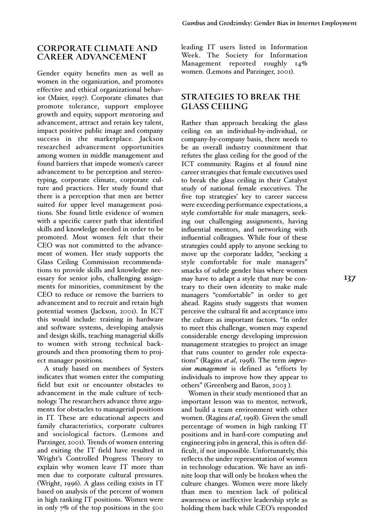## CORPORATE CLIMATE AND CAREER ADVANCEMENT

Gender equity benefits men as well as women in the organization, and promotes effective and ethical organizational behavior (Maier, 1997). Corporate climates that promote tolerance, support employee growth and equity, support mentoring and advancement, attract and retain key talent, impact positive public image and company success in the marketplace. Jackson researched advancement opportunities among women in middle management and found barriers that impede women's career advancement to be perception and stereotyping, corporate climate, corporate culture and practices. Her study found that there is a perception that men are better suited for upper level management positions. She found little evidence of women with a specific career path that identified skills and knowledge needed in order to be promoted. Most women felt that their CEO was not committed to the advancement of women. Her study supports the Glass Ceiling Commission recommendations to provide skills and knowledge necessary for senior jobs, challenging assignments for minorities, commitment by the CEO to reduce or remove the barriers to advancement and to recruit and retain high potential women (Jackson, 2001). In ICT this would include: training in hardware and software systems, developing analysis and design skills, teaching managerial skills to women with strong technical backgrounds and then promoting them to project manager positions.

A study based on members of Systers indicates that women enter the computing field but exit or encounter obstacles to advancement in the male culture of technology. The researchers advance three arguments for obstacles to managerial positions in IT. These are educational aspects and family characteristics, corporate cultures and sociological factors. (Lemons and Parzinger, 2001). Trends of women entering and exiting the IT field have resulted in Wright's Controlled Progress Theory to explain why women leave IT more than men due to corporate cultural pressures. (Wright, 1996). A glass ceiling exists in IT based on analysis of the percent of women in high ranking IT positions. Women were in only  $7\%$  of the top positions in the  $500$ 

leading IT users listed in Information Week. The Society for Information Management reported roughly 14% women. (Lemons and Parzinger, 2001).

## STRATEGIES TO BREAK THE GLASS CEILING

Rather than approach breaking the glass ceiling on an individual-by-individual, or company-by-company basis, there needs to be an overall industry commitment that refutes the glass ceiling for the good of the ICT community. Ragins et al found nine career strategies that female executives used to break the glass ceiling in their Catalyst study of national female executives. The five top strategies' key to career success were exceeding performance expectations, a style comfortable for male managers, seeking out challenging assignments, having influential mentors, and networking with influential colleagues. While four of these strategies could apply to anyone seeking to move up the corporate ladder, "seeking a style comfortable for male managers" smacks of subtle gender bias where women may have to adapt a style that may be contrary to their own identity to make male managers "comfortable" in order to get ahead. Ragins study suggests that women perceive the cultural fit and acceptance into the culture as important factors. "In order to meet this challenge, women may expend considerable energy developing impression management strategies to project an image that runs counter to gender role expectations" (Ragins *et al*, 1998). The term *impression management* is defined as "efforts by individuals to improve how they appear to others" (Greenberg and Baron, 2003 ).

Women in their study mentioned that an important lesson was to mentor, network, and build a team environment with other women. (Ragins *et al*, 1998). Given the small percentage of women in high ranking IT positions and in hard-core computing and engineering jobs in general, this is often difficult, if not impossible. Unfortunately, this reflects the under representation of women in technology education. We have an infinite loop that will only be broken when the culture changes. Women were more likely than men to mention lack of political awareness or ineffective leadership style as holding them back while CEO's responded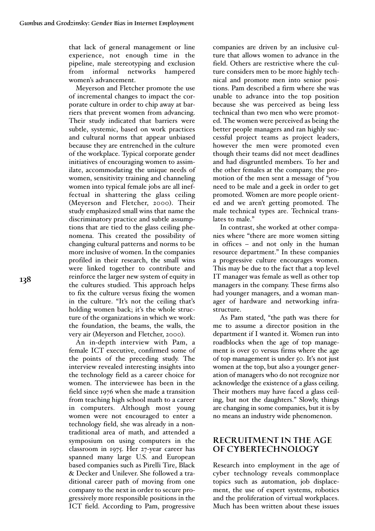that lack of general management or line experience, not enough time in the pipeline, male stereotyping and exclusion from informal networks hampered women's advancement.

Meyerson and Fletcher promote the use of incremental changes to impact the corporate culture in order to chip away at barriers that prevent women from advancing. Their study indicated that barriers were subtle, systemic, based on work practices and cultural norms that appear unbiased because they are entrenched in the culture of the workplace. Typical corporate gender initiatives of encouraging women to assimilate, accommodating the unique needs of women, sensitivity training and channeling women into typical female jobs are all ineffectual in shattering the glass ceiling (Meyerson and Fletcher, 2000). Their study emphasized small wins that name the discriminatory practice and subtle assumptions that are tied to the glass ceiling phenomena. This created the possibility of changing cultural patterns and norms to be more inclusive of women. In the companies profiled in their research, the small wins were linked together to contribute and reinforce the larger new system of equity in the cultures studied. This approach helps to fix the culture versus fixing the women in the culture. "It's not the ceiling that's holding women back; it's the whole structure of the organizations in which we work: the foundation, the beams, the walls, the very air (Meyerson and Fletcher, 2000).

An in-depth interview with Pam, a female ICT executive, confirmed some of the points of the preceding study. The interview revealed interesting insights into the technology field as a career choice for women. The interviewee has been in the field since 1976 when she made a transition from teaching high school math to a career in computers. Although most young women were not encouraged to enter a technology field, she was already in a nontraditional area of math, and attended a symposium on using computers in the classroom in 1975. Her 27-year career has spanned many large U.S. and European based companies such as Pirelli Tire, Black & Decker and Unilever. She followed a traditional career path of moving from one company to the next in order to secure progressively more responsible positions in the ICT field. According to Pam, progressive

companies are driven by an inclusive culture that allows women to advance in the field. Others are restrictive where the culture considers men to be more highly technical and promote men into senior positions. Pam described a firm where she was unable to advance into the top position because she was perceived as being less technical than two men who were promoted. The women were perceived as being the better people managers and ran highly successful project teams as project leaders, however the men were promoted even though their teams did not meet deadlines and had disgruntled members. To her and the other females at the company, the promotion of the men sent a message of "you need to be male and a geek in order to get promoted. Women are more people oriented and we aren't getting promoted. The male technical types are. Technical translates to male."

In contrast, she worked at other companies where "there are more women sitting in offices – and not only in the human resource department." In these companies a progressive culture encourages women. This may be due to the fact that a top level IT manager was female as well as other top managers in the company. These firms also had younger managers, and a woman manager of hardware and networking infrastructure.

As Pam stated, "the path was there for me to assume a director position in the department if I wanted it. Women run into roadblocks when the age of top management is over 50 versus firms where the age of top management is under 50. It's not just women at the top, but also a younger generation of managers who do not recognize nor acknowledge the existence of a glass ceiling. Their mothers may have faced a glass ceiling, but not the daughters." Slowly, things are changing in some companies, but it is by no means an industry wide phenomenon.

## RECRUITMENT IN THE AGE OF CYBERTECHNOLOGY

Research into employment in the age of cyber technology reveals commonplace topics such as automation, job displacement, the use of expert systems, robotics and the proliferation of virtual workplaces. Much has been written about these issues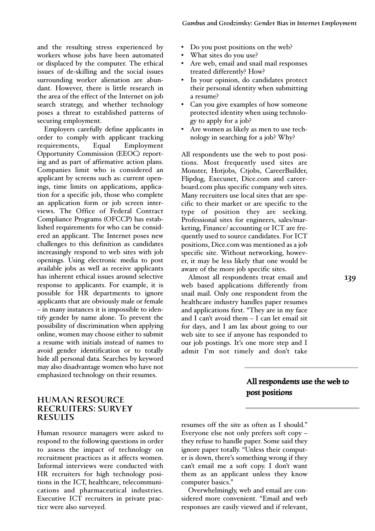and the resulting stress experienced by workers whose jobs have been automated or displaced by the computer. The ethical issues of de-skilling and the social issues surrounding worker alienation are abundant. However, there is little research in the area of the effect of the Internet on job search strategy, and whether technology poses a threat to established patterns of securing employment.

Employers carefully define applicants in order to comply with applicant tracking requirements, Equal Employment Opportunity Commission (EEOC) reporting and as part of affirmative action plans. Companies limit who is considered an applicant by screens such as: current openings, time limits on applications, application for a specific job, those who complete an application form or job screen interviews. The Office of Federal Contract Compliance Programs (OFCCP) has established requirements for who can be considered an applicant. The Internet poses new challenges to this definition as candidates increasingly respond to web sites with job openings. Using electronic media to post available jobs as well as receive applicants has inherent ethical issues around selective response to applicants. For example, it is possible for HR departments to ignore applicants that are obviously male or female – in many instances it is impossible to identify gender by name alone. To prevent the possibility of discrimination when applying online, women may choose either to submit a resume with initials instead of names to avoid gender identification or to totally hide all personal data. Searches by keyword may also disadvantage women who have not emphasized technology on their resumes.

- Do you post positions on the web?
- What sites do you use?
- Are web, email and snail mail responses treated differently? How?
- In your opinion, do candidates protect their personal identity when submitting a resume?
- Can you give examples of how someone protected identity when using technology to apply for a job?
- Are women as likely as men to use technology in searching for a job? Why?

All respondents use the web to post positions. Most frequently used sites are Monster, Hotjobs, Ctjobs, CareerBuilder, Flipdog, Execunet, Dice.com and careerboard.com plus specific company web sites. Many recruiters use local sites that are specific to their market or are specific to the type of position they are seeking. Professional sites for engineers, sales/marketing, Finance/ accounting or ICT are frequently used to source candidates. For ICT positions, Dice.com was mentioned as a job specific site. Without networking, however, it may be less likely that one would be aware of the more job specific sites.

Almost all respondents treat email and web based applications differently from snail mail. Only one respondent from the healthcare industry handles paper resumes and applications first. "They are in my face and I can't avoid them – I can let email sit for days, and I am lax about going to our web site to see if anyone has responded to our job postings. It's one more step and I admit I'm not timely and don't take

## All respondents use the web to post positions

## HUMAN RESOURCE RECRUITERS: SURVEY RESULTS

Human resource managers were asked to respond to the following questions in order to assess the impact of technology on recruitment practices as it affects women. Informal interviews were conducted with HR recruiters for high technology positions in the ICT, healthcare, telecommunications and pharmaceutical industries. Executive ICT recruiters in private practice were also surveyed.

resumes off the site as often as I should." Everyone else not only prefers soft copy – they refuse to handle paper. Some said they ignore paper totally. "Unless their computer is down, there's something wrong if they can't email me a soft copy. I don't want them as an applicant unless they know computer basics."

Overwhelmingly, web and email are considered more convenient. "Email and web responses are easily viewed and if relevant,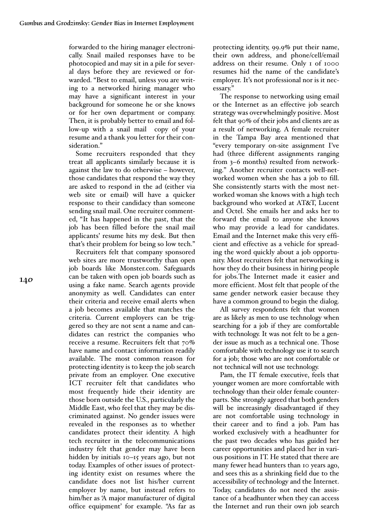forwarded to the hiring manager electronically. Snail mailed responses have to be photocopied and may sit in a pile for several days before they are reviewed or forwarded. "Best to email, unless you are writing to a networked hiring manager who may have a significant interest in your background for someone he or she knows or for her own department or company. Then, it is probably better to email and follow-up with a snail mail copy of your resume and a thank you letter for their consideration."

Some recruiters responded that they treat all applicants similarly because it is against the law to do otherwise – however, those candidates that respond the way they are asked to respond in the ad (either via web site or email) will have a quicker response to their candidacy than someone sending snail mail. One recruiter commented, "It has happened in the past, that the job has been filled before the snail mail applicants' resume hits my desk. But then that's their problem for being so low tech."

Recruiters felt that company sponsored web sites are more trustworthy than open job boards like Monster.com. Safeguards can be taken with open job boards such as using a fake name. Search agents provide anonymity as well. Candidates can enter their criteria and receive email alerts when a job becomes available that matches the criteria. Current employers can be triggered so they are not sent a name and candidates can restrict the companies who receive a resume. Recruiters felt that 70% have name and contact information readily available. The most common reason for protecting identity is to keep the job search private from an employer. One executive ICT recruiter felt that candidates who most frequently hide their identity are those born outside the U.S., particularly the Middle East, who feel that they may be discriminated against. No gender issues were revealed in the responses as to whether candidates protect their identity. A high tech recruiter in the telecommunications industry felt that gender may have been hidden by initials 10–15 years ago, but not today. Examples of other issues of protecting identity exist on resumes where the candidate does not list his/her current employer by name, but instead refers to him/her as 'A major manufacturer of digital office equipment' for example. "As far as

protecting identity, 99.9% put their name, their own address, and phone/cell/email address on their resume. Only 1 of 1000 resumes hid the name of the candidate's employer. It's not professional nor is it necessary."

The response to networking using email or the Internet as an effective job search strategy was overwhelmingly positive. Most felt that 90% of their jobs and clients are as a result of networking. A female recruiter in the Tampa Bay area mentioned that "every temporary on-site assignment I've had (three different assignments ranging from 3–6 months) resulted from networking." Another recruiter contacts well-networked women when she has a job to fill. She consistently starts with the most networked woman she knows with a high tech background who worked at AT&T, Lucent and Octel. She emails her and asks her to forward the email to anyone she knows who may provide a lead for candidates. Email and the Internet make this very efficient and effective as a vehicle for spreading the word quickly about a job opportunity. Most recruiters felt that networking is how they do their business in hiring people for jobs.The Internet made it easier and more efficient. Most felt that people of the same gender network easier because they have a common ground to begin the dialog.

All survey respondents felt that women are as likely as men to use technology when searching for a job if they are comfortable with technology. It was not felt to be a gender issue as much as a technical one. Those comfortable with technology use it to search for a job; those who are not comfortable or not technical will not use technology.

Pam, the IT female executive, feels that younger women are more comfortable with technology than their older female counterparts. She strongly agreed that both genders will be increasingly disadvantaged if they are not comfortable using technology in their career and to find a job. Pam has worked exclusively with a headhunter for the past two decades who has guided her career opportunities and placed her in various positions in IT. He stated that there are many fewer head hunters than 10 years ago, and sees this as a shrinking field due to the accessibility of technology and the Internet. Today, candidates do not need the assistance of a headhunter when they can access the Internet and run their own job search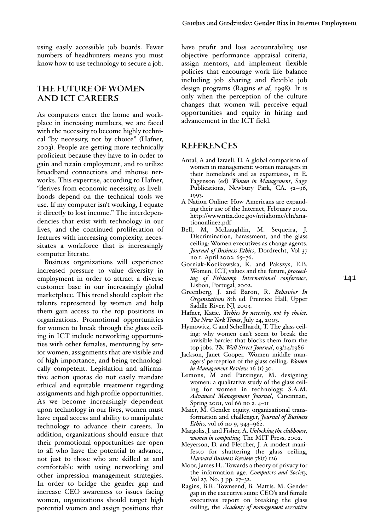using easily accessible job boards. Fewer numbers of headhunters means you must know how to use technology to secure a job.

## THE FUTURE OF WOMEN AND ICT CAREERS

As computers enter the home and workplace in increasing numbers, we are faced with the necessity to become highly technical "by necessity, not by choice" (Hafner, 2003). People are getting more technically proficient because they have to in order to gain and retain employment, and to utilize broadband connections and inhouse networks. This expertise, according to Hafner, "derives from economic necessity, as livelihoods depend on the technical tools we use. If my computer isn't working, I equate it directly to lost income." The interdependencies that exist with technology in our lives, and the continued proliferation of features with increasing complexity, necessitates a workforce that is increasingly computer literate.

Business organizations will experience increased pressure to value diversity in employment in order to attract a diverse customer base in our increasingly global marketplace. This trend should exploit the talents represented by women and help them gain access to the top positions in organizations. Promotional opportunities for women to break through the glass ceiling in ICT include networking opportunities with other females, mentoring by senior women, assignments that are visible and of high importance, and being technologically competent. Legislation and affirmative action quotas do not easily mandate ethical and equitable treatment regarding assignments and high profile opportunities. As we become increasingly dependent upon technology in our lives, women must have equal access and ability to manipulate technology to advance their careers. In addition, organizations should ensure that their promotional opportunities are open to all who have the potential to advance, not just to those who are skilled at and comfortable with using networking and other impression management strategies. In order to bridge the gender gap and increase CEO awareness to issues facing women, organizations should target high potential women and assign positions that

have profit and loss accountability, use objective performance appraisal criteria, assign mentors, and implement flexible policies that encourage work life balance including job sharing and flexible job design programs (Ragins *et al*, 1998). It is only when the perception of the culture changes that women will perceive equal opportunities and equity in hiring and advancement in the ICT field.

### REFERENCES

- Antal, A and Izraeli, D. A global comparison of women in management: women managers in their homelands and as expatriates, in E. Fagenson (ed) *Women in Management*, Sage Publications, Newbury Park, CA. 52–96, 1993.
- A Nation Online: How Americans are expanding their use of the Internet, February 2002. http://www.ntia.doc.gov/ntiahome/cln/anationonline2.pdf
- Bell, M, McLaughlin, M. Sequeira, J. Discrimination, harassment, and the glass ceiling: Women executives as change agents. *Journal of Business Ethics*, Dordrecht, Vol 37 no 1. April 2002: 65–76.
- Gorniak-Kocikowska, K. and Pakszys, E.B. Women, ICT, values and the future, *proceeding of Ethicomp International conference*, Lisbon, Portugal, 2002.
- Greenberg, J. and Baron, R. *Behavior In Organizations* 8th ed. Prentice Hall, Upper Saddle River, NJ, 2003.
- Hafner, Katie. *Techies by necessity, not by choice*. *The New York Times*, July 24, 2003.
- Hymowitz, C and Schellhardt, T. The glass ceiling: why women can't seem to break the invisible barrier that blocks them from the top jobs. *The Wall Street Journal*, 03/24/1986
- Jackson, Janet Cooper. Women middle managers' perception of the glass ceiling. *Women in Management Review.* 16 (1) 30.
- Lemons, M and Parzinger, M. designing women: a qualitative study of the glass ceiling for women in technology. S.A.M. *Advanced Management Journal*, Cincinnati, Spring 2001, vol 66 no 2. 4–11
- Maier, M. Gender equity, organizational transformation and challenger, *Journal of Business Ethics,* vol 16 no 9, 943–962.
- Margolis, J. and Fisher, A. *Unlocking the clubhouse, women in computing,* The MIT Press, 2002.
- Meyerson, D. and Fletcher, J. A modest manifesto for shattering the glass ceiling, *Harvard Business Review* 78(1) 126
- Moor, James H.. Towards a theory of privacy for the information age. *Computers and Society,* Vol 27, No. 3 pp. 27–32.
- Ragins, B.R. Townsend, B. Mattis. M. Gender gap in the executive suite: CEO's and female executives report on breaking the glass ceiling, the *Academy of management executive*